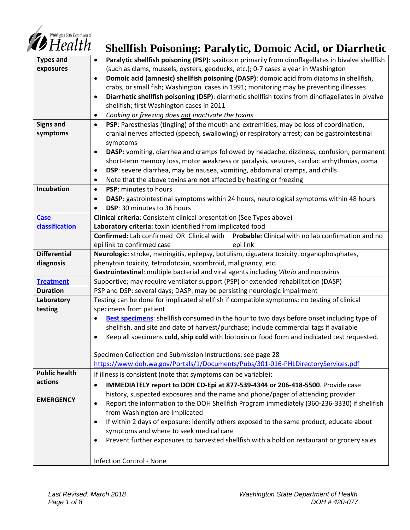

| $\blacktriangledown$ Health         | <b>Shellfish Poisoning: Paralytic, Domoic Acid, or Diarrhetic</b>                                                                                                       |
|-------------------------------------|-------------------------------------------------------------------------------------------------------------------------------------------------------------------------|
| <b>Types and</b>                    | Paralytic shellfish poisoning (PSP): saxitoxin primarily from dinoflagellates in bivalve shellfish<br>$\bullet$                                                         |
| exposures                           | (such as clams, mussels, oysters, geoducks, etc.); 0-7 cases a year in Washington                                                                                       |
|                                     | Domoic acid (amnesic) shellfish poisoning (DASP): domoic acid from diatoms in shellfish,<br>$\bullet$                                                                   |
|                                     | crabs, or small fish; Washington cases in 1991; monitoring may be preventing illnesses                                                                                  |
|                                     | Diarrhetic shellfish poisoning (DSP): diarrhetic shellfish toxins from dinoflagellates in bivalve<br>$\bullet$                                                          |
|                                     | shellfish; first Washington cases in 2011                                                                                                                               |
|                                     | Cooking or freezing does not inactivate the toxins<br>٠                                                                                                                 |
| <b>Signs and</b>                    | PSP: Paresthesias (tingling) of the mouth and extremities, may be loss of coordination,<br>$\bullet$                                                                    |
| symptoms                            | cranial nerves affected (speech, swallowing) or respiratory arrest; can be gastrointestinal                                                                             |
|                                     | symptoms                                                                                                                                                                |
|                                     | DASP: vomiting, diarrhea and cramps followed by headache, dizziness, confusion, permanent<br>$\bullet$                                                                  |
|                                     | short-term memory loss, motor weakness or paralysis, seizures, cardiac arrhythmias, coma                                                                                |
|                                     | DSP: severe diarrhea, may be nausea, vomiting, abdominal cramps, and chills<br>٠                                                                                        |
|                                     | Note that the above toxins are not affected by heating or freezing<br>٠                                                                                                 |
| Incubation                          | PSP: minutes to hours<br>$\bullet$                                                                                                                                      |
|                                     | DASP: gastrointestinal symptoms within 24 hours, neurological symptoms within 48 hours<br>$\bullet$                                                                     |
|                                     | DSP: 30 minutes to 36 hours                                                                                                                                             |
| <b>Case</b>                         | Clinical criteria: Consistent clinical presentation (See Types above)                                                                                                   |
| classification                      | Laboratory criteria: toxin identified from implicated food                                                                                                              |
|                                     | Probable: Clinical with no lab confirmation and no<br>Confirmed: Lab confirmed OR Clinical with                                                                         |
|                                     | epi link to confirmed case<br>epi link                                                                                                                                  |
| <b>Differential</b>                 | Neurologic: stroke, meningitis, epilepsy, botulism, ciguatera toxicity, organophosphates,                                                                               |
| diagnosis                           | phenytoin toxicity, tetrodotoxin, scombroid, malignancy, etc.                                                                                                           |
|                                     | Gastrointestinal: multiple bacterial and viral agents including Vibrio and norovirus                                                                                    |
| <b>Treatment</b><br><b>Duration</b> | Supportive; may require ventilator support (PSP) or extended rehabilitation (DASP)                                                                                      |
|                                     | PSP and DSP: several days; DASP: may be persisting neurologic impairment<br>Testing can be done for implicated shellfish if compatible symptoms; no testing of clinical |
| Laboratory<br>testing               | specimens from patient                                                                                                                                                  |
|                                     | Best specimens: shellfish consumed in the hour to two days before onset including type of                                                                               |
|                                     | shellfish, and site and date of harvest/purchase; include commercial tags if available                                                                                  |
|                                     | Keep all specimens cold, ship cold with biotoxin or food form and indicated test requested.<br>$\bullet$                                                                |
|                                     |                                                                                                                                                                         |
|                                     | Specimen Collection and Submission Instructions: see page 28                                                                                                            |
|                                     | https://www.doh.wa.gov/Portals/1/Documents/Pubs/301-016-PHLDirectoryServices.pdf                                                                                        |
| <b>Public health</b>                | If illness is consistent (note that symptoms can be variable):                                                                                                          |
| actions                             | IMMEDIATELY report to DOH CD-Epi at 877-539-4344 or 206-418-5500. Provide case<br>$\bullet$                                                                             |
|                                     | history, suspected exposures and the name and phone/pager of attending provider                                                                                         |
| <b>EMERGENCY</b>                    | Report the information to the DOH Shellfish Program immediately (360-236-3330) if shellfish<br>$\bullet$                                                                |
|                                     | from Washington are implicated                                                                                                                                          |
|                                     | If within 2 days of exposure: identify others exposed to the same product, educate about<br>$\bullet$                                                                   |
|                                     | symptoms and where to seek medical care                                                                                                                                 |
|                                     | Prevent further exposures to harvested shellfish with a hold on restaurant or grocery sales<br>٠                                                                        |
|                                     |                                                                                                                                                                         |
|                                     | <b>Infection Control - None</b>                                                                                                                                         |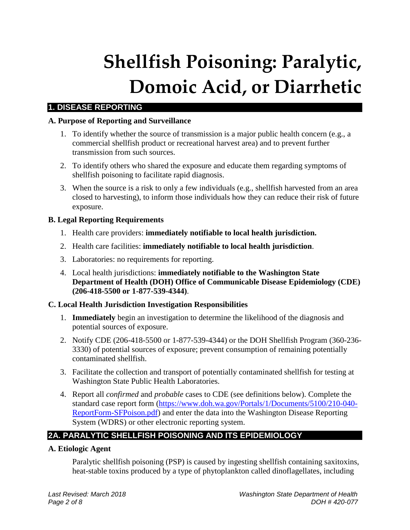# **Shellfish Poisoning: Paralytic, Domoic Acid, or Diarrhetic**

# **1. DISEASE REPORTING**

## **A. Purpose of Reporting and Surveillance**

- 1. To identify whether the source of transmission is a major public health concern (e.g., a commercial shellfish product or recreational harvest area) and to prevent further transmission from such sources.
- 2. To identify others who shared the exposure and educate them regarding symptoms of shellfish poisoning to facilitate rapid diagnosis.
- 3. When the source is a risk to only a few individuals (e.g., shellfish harvested from an area closed to harvesting), to inform those individuals how they can reduce their risk of future exposure.

## **B. Legal Reporting Requirements**

- 1. Health care providers: **immediately notifiable to local health jurisdiction.**
- 2. Health care facilities: **immediately notifiable to local health jurisdiction**.
- 3. Laboratories: no requirements for reporting.
- 4. Local health jurisdictions: **immediately notifiable to the Washington State Department of Health (DOH) Office of Communicable Disease Epidemiology (CDE) (206-418-5500 or 1-877-539-4344)**.

## **C. Local Health Jurisdiction Investigation Responsibilities**

- 1. **Immediately** begin an investigation to determine the likelihood of the diagnosis and potential sources of exposure.
- 2. Notify CDE (206-418-5500 or 1-877-539-4344) or the DOH Shellfish Program (360-236- 3330) of potential sources of exposure; prevent consumption of remaining potentially contaminated shellfish.
- 3. Facilitate the collection and transport of potentially contaminated shellfish for testing at Washington State Public Health Laboratories.
- 4. Report all *confirmed* and *probable* cases to CDE (see definitions below). Complete the standard case report form [\(https://www.doh.wa.gov/Portals/1/Documents/5100/210-040-](https://www.doh.wa.gov/Portals/1/Documents/5100/210-040-ReportForm-SFPoison.pdf) [ReportForm-SFPoison.pdf\)](https://www.doh.wa.gov/Portals/1/Documents/5100/210-040-ReportForm-SFPoison.pdf) and enter the data into the Washington Disease Reporting System (WDRS) or other electronic reporting system.

# **2A. PARALYTIC SHELLFISH POISONING AND ITS EPIDEMIOLOGY**

## **A. Etiologic Agent**

Paralytic shellfish poisoning (PSP) is caused by ingesting shellfish containing saxitoxins, heat-stable toxins produced by a type of phytoplankton called dinoflagellates, including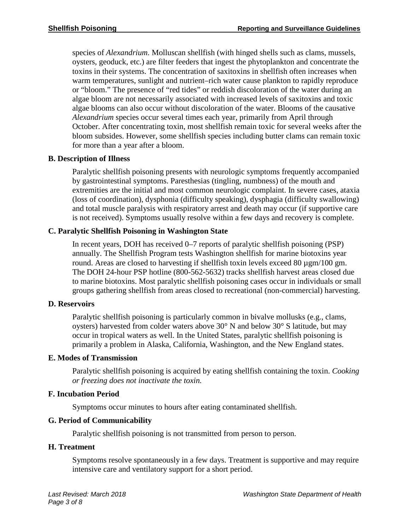species of *Alexandrium*. Molluscan shellfish (with hinged shells such as clams, mussels, oysters, geoduck, etc.) are filter feeders that ingest the phytoplankton and concentrate the toxins in their systems. The concentration of saxitoxins in shellfish often increases when warm temperatures, sunlight and nutrient–rich water cause plankton to rapidly reproduce or "bloom." The presence of "red tides" or reddish discoloration of the water during an algae bloom are not necessarily associated with increased levels of saxitoxins and toxic algae blooms can also occur without discoloration of the water. Blooms of the causative *Alexandrium* species occur several times each year, primarily from April through October. After concentrating toxin, most shellfish remain toxic for several weeks after the bloom subsides. However, some shellfish species including butter clams can remain toxic for more than a year after a bloom.

## **B. Description of Illness**

Paralytic shellfish poisoning presents with neurologic symptoms frequently accompanied by gastrointestinal symptoms. Paresthesias (tingling, numbness) of the mouth and extremities are the initial and most common neurologic complaint. In severe cases, ataxia (loss of coordination), dysphonia (difficulty speaking), dysphagia (difficulty swallowing) and total muscle paralysis with respiratory arrest and death may occur (if supportive care is not received). Symptoms usually resolve within a few days and recovery is complete.

## **C. Paralytic Shellfish Poisoning in Washington State**

In recent years, DOH has received 0–7 reports of paralytic shellfish poisoning (PSP) annually. The Shellfish Program tests Washington shellfish for marine biotoxins year round. Areas are closed to harvesting if shellfish toxin levels exceed 80 µgm/100 gm. The DOH 24-hour PSP hotline (800-562-5632) tracks shellfish harvest areas closed due to marine biotoxins. Most paralytic shellfish poisoning cases occur in individuals or small groups gathering shellfish from areas closed to recreational (non-commercial) harvesting.

## **D. Reservoirs**

Paralytic shellfish poisoning is particularly common in bivalve mollusks (e.g., clams, oysters) harvested from colder waters above 30° N and below 30° S latitude, but may occur in tropical waters as well. In the United States, paralytic shellfish poisoning is primarily a problem in Alaska, California, Washington, and the New England states.

## **E. Modes of Transmission**

Paralytic shellfish poisoning is acquired by eating shellfish containing the toxin. *Cooking or freezing does not inactivate the toxin.*

## **F. Incubation Period**

Symptoms occur minutes to hours after eating contaminated shellfish.

## **G. Period of Communicability**

Paralytic shellfish poisoning is not transmitted from person to person.

## **H. Treatment**

Symptoms resolve spontaneously in a few days. Treatment is supportive and may require intensive care and ventilatory support for a short period.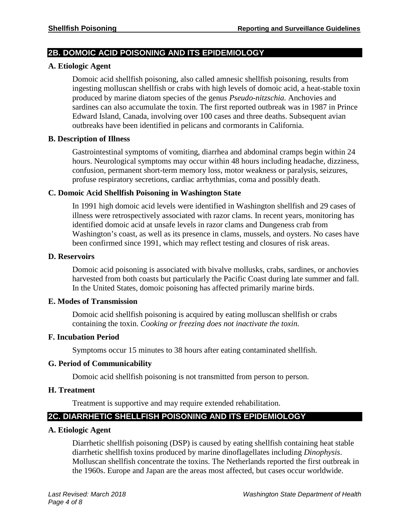## **2B. DOMOIC ACID POISONING AND ITS EPIDEMIOLOGY**

#### **A. Etiologic Agent**

Domoic acid shellfish poisoning, also called amnesic shellfish poisoning, results from ingesting molluscan shellfish or crabs with high levels of domoic acid, a heat-stable toxin produced by marine diatom species of the genus *Pseudo-nitzschia.* Anchovies and sardines can also accumulate the toxin. The first reported outbreak was in 1987 in Prince Edward Island, Canada, involving over 100 cases and three deaths. Subsequent avian outbreaks have been identified in pelicans and cormorants in California.

#### **B. Description of Illness**

Gastrointestinal symptoms of vomiting, diarrhea and abdominal cramps begin within 24 hours. Neurological symptoms may occur within 48 hours including headache, dizziness, confusion, permanent short-term memory loss, motor weakness or paralysis, seizures, profuse respiratory secretions, cardiac arrhythmias, coma and possibly death.

## **C. Domoic Acid Shellfish Poisoning in Washington State**

In 1991 high domoic acid levels were identified in Washington shellfish and 29 cases of illness were retrospectively associated with razor clams. In recent years, monitoring has identified domoic acid at unsafe levels in razor clams and Dungeness crab from Washington's coast, as well as its presence in clams, mussels, and oysters. No cases have been confirmed since 1991, which may reflect testing and closures of risk areas.

#### **D. Reservoirs**

Domoic acid poisoning is associated with bivalve mollusks, crabs, sardines, or anchovies harvested from both coasts but particularly the Pacific Coast during late summer and fall. In the United States, domoic poisoning has affected primarily marine birds.

## **E. Modes of Transmission**

Domoic acid shellfish poisoning is acquired by eating molluscan shellfish or crabs containing the toxin. *Cooking or freezing does not inactivate the toxin.*

## **F. Incubation Period**

Symptoms occur 15 minutes to 38 hours after eating contaminated shellfish.

#### **G. Period of Communicability**

Domoic acid shellfish poisoning is not transmitted from person to person.

## **H. Treatment**

Treatment is supportive and may require extended rehabilitation.

# **2C. DIARRHETIC SHELLFISH POISONING AND ITS EPIDEMIOLOGY**

#### **A. Etiologic Agent**

Diarrhetic shellfish poisoning (DSP) is caused by eating shellfish containing heat stable diarrhetic shellfish toxins produced by marine dinoflagellates including *Dinophysis*. Molluscan shellfish concentrate the toxins. The Netherlands reported the first outbreak in the 1960s. Europe and Japan are the areas most affected, but cases occur worldwide.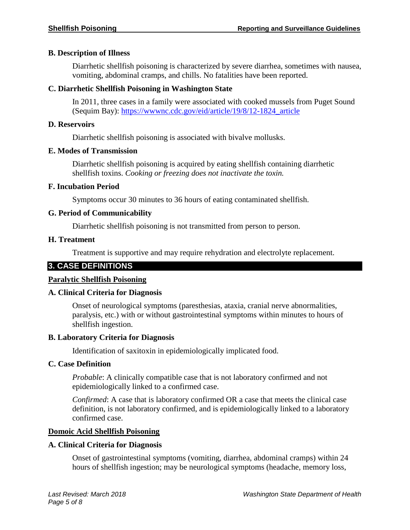## **B. Description of Illness**

Diarrhetic shellfish poisoning is characterized by severe diarrhea, sometimes with nausea, vomiting, abdominal cramps, and chills. No fatalities have been reported.

## **C. Diarrhetic Shellfish Poisoning in Washington State**

In 2011, three cases in a family were associated with cooked mussels from Puget Sound (Sequim Bay): [https://wwwnc.cdc.gov/eid/article/19/8/12-1824\\_article](https://wwwnc.cdc.gov/eid/article/19/8/12-1824_article)

## **D. Reservoirs**

Diarrhetic shellfish poisoning is associated with bivalve mollusks.

## **E. Modes of Transmission**

Diarrhetic shellfish poisoning is acquired by eating shellfish containing diarrhetic shellfish toxins. *Cooking or freezing does not inactivate the toxin.*

## **F. Incubation Period**

Symptoms occur 30 minutes to 36 hours of eating contaminated shellfish.

## **G. Period of Communicability**

Diarrhetic shellfish poisoning is not transmitted from person to person.

## **H. Treatment**

Treatment is supportive and may require rehydration and electrolyte replacement.

# <span id="page-4-0"></span>**3. CASE DEFINITIONS**

## **Paralytic Shellfish Poisoning**

## **A. Clinical Criteria for Diagnosis**

Onset of neurological symptoms (paresthesias, ataxia, cranial nerve abnormalities, paralysis, etc.) with or without gastrointestinal symptoms within minutes to hours of shellfish ingestion.

## **B. Laboratory Criteria for Diagnosis**

Identification of saxitoxin in epidemiologically implicated food.

## **C. Case Definition**

*Probable*: A clinically compatible case that is not laboratory confirmed and not epidemiologically linked to a confirmed case.

*Confirmed*: A case that is laboratory confirmed OR a case that meets the clinical case definition, is not laboratory confirmed, and is epidemiologically linked to a laboratory confirmed case.

## **Domoic Acid Shellfish Poisoning**

## **A. Clinical Criteria for Diagnosis**

Onset of gastrointestinal symptoms (vomiting, diarrhea, abdominal cramps) within 24 hours of shellfish ingestion; may be neurological symptoms (headache, memory loss,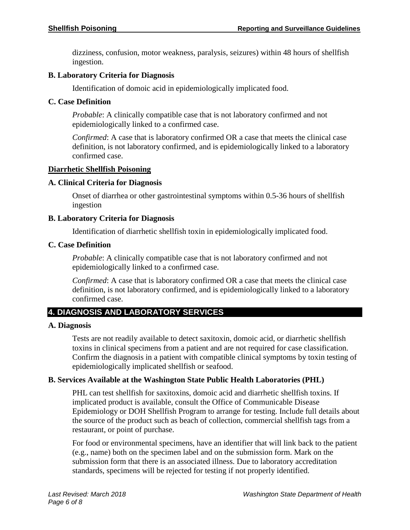dizziness, confusion, motor weakness, paralysis, seizures) within 48 hours of shellfish ingestion.

## **B. Laboratory Criteria for Diagnosis**

Identification of domoic acid in epidemiologically implicated food.

## **C. Case Definition**

*Probable*: A clinically compatible case that is not laboratory confirmed and not epidemiologically linked to a confirmed case.

*Confirmed*: A case that is laboratory confirmed OR a case that meets the clinical case definition, is not laboratory confirmed, and is epidemiologically linked to a laboratory confirmed case.

## **Diarrhetic Shellfish Poisoning**

## **A. Clinical Criteria for Diagnosis**

Onset of diarrhea or other gastrointestinal symptoms within 0.5-36 hours of shellfish ingestion

## **B. Laboratory Criteria for Diagnosis**

Identification of diarrhetic shellfish toxin in epidemiologically implicated food.

## **C. Case Definition**

*Probable*: A clinically compatible case that is not laboratory confirmed and not epidemiologically linked to a confirmed case.

*Confirmed*: A case that is laboratory confirmed OR a case that meets the clinical case definition, is not laboratory confirmed, and is epidemiologically linked to a laboratory confirmed case.

# <span id="page-5-0"></span>**4. DIAGNOSIS AND LABORATORY SERVICES**

## **A. Diagnosis**

Tests are not readily available to detect saxitoxin, domoic acid, or diarrhetic shellfish toxins in clinical specimens from a patient and are not required for case classification. Confirm the diagnosis in a patient with compatible clinical symptoms by toxin testing of epidemiologically implicated shellfish or seafood.

## **B. Services Available at the Washington State Public Health Laboratories (PHL)**

PHL can test shellfish for saxitoxins, domoic acid and diarrhetic shellfish toxins. If implicated product is available, consult the Office of Communicable Disease Epidemiology or DOH Shellfish Program to arrange for testing. Include full details about the source of the product such as beach of collection, commercial shellfish tags from a restaurant, or point of purchase.

For food or environmental specimens, have an identifier that will link back to the patient (e.g., name) both on the specimen label and on the submission form. Mark on the submission form that there is an associated illness. Due to laboratory accreditation standards, specimens will be rejected for testing if not properly identified.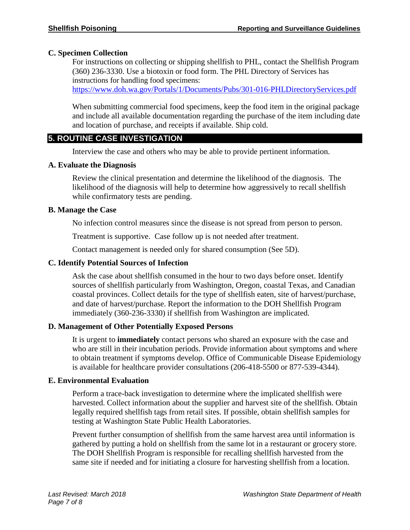## **C. Specimen Collection**

For instructions on collecting or shipping shellfish to PHL, contact the Shellfish Program (360) 236-3330. Use a biotoxin or food form. The PHL Directory of Services has instructions for handling food specimens:

<https://www.doh.wa.gov/Portals/1/Documents/Pubs/301-016-PHLDirectoryServices.pdf>

When submitting commercial food specimens, keep the food item in the original package and include all available documentation regarding the purchase of the item including date and location of purchase, and receipts if available. Ship cold.

## <span id="page-6-0"></span>**5. ROUTINE CASE INVESTIGATION**

Interview the case and others who may be able to provide pertinent information.

## **A. Evaluate the Diagnosis**

Review the clinical presentation and determine the likelihood of the diagnosis. The likelihood of the diagnosis will help to determine how aggressively to recall shellfish while confirmatory tests are pending.

## **B. Manage the Case**

No infection control measures since the disease is not spread from person to person.

Treatment is supportive. Case follow up is not needed after treatment.

Contact management is needed only for shared consumption (See 5D).

## **C. Identify Potential Sources of Infection**

Ask the case about shellfish consumed in the hour to two days before onset. Identify sources of shellfish particularly from Washington, Oregon, coastal Texas, and Canadian coastal provinces. Collect details for the type of shellfish eaten, site of harvest/purchase, and date of harvest/purchase. Report the information to the DOH Shellfish Program immediately (360-236-3330) if shellfish from Washington are implicated.

## **D. Management of Other Potentially Exposed Persons**

It is urgent to **immediately** contact persons who shared an exposure with the case and who are still in their incubation periods. Provide information about symptoms and where to obtain treatment if symptoms develop. Office of Communicable Disease Epidemiology is available for healthcare provider consultations (206-418-5500 or 877-539-4344).

## **E. Environmental Evaluation**

Perform a trace-back investigation to determine where the implicated shellfish were harvested. Collect information about the supplier and harvest site of the shellfish. Obtain legally required shellfish tags from retail sites. If possible, obtain shellfish samples for testing at Washington State Public Health Laboratories.

Prevent further consumption of shellfish from the same harvest area until information is gathered by putting a hold on shellfish from the same lot in a restaurant or grocery store. The DOH Shellfish Program is responsible for recalling shellfish harvested from the same site if needed and for initiating a closure for harvesting shellfish from a location.